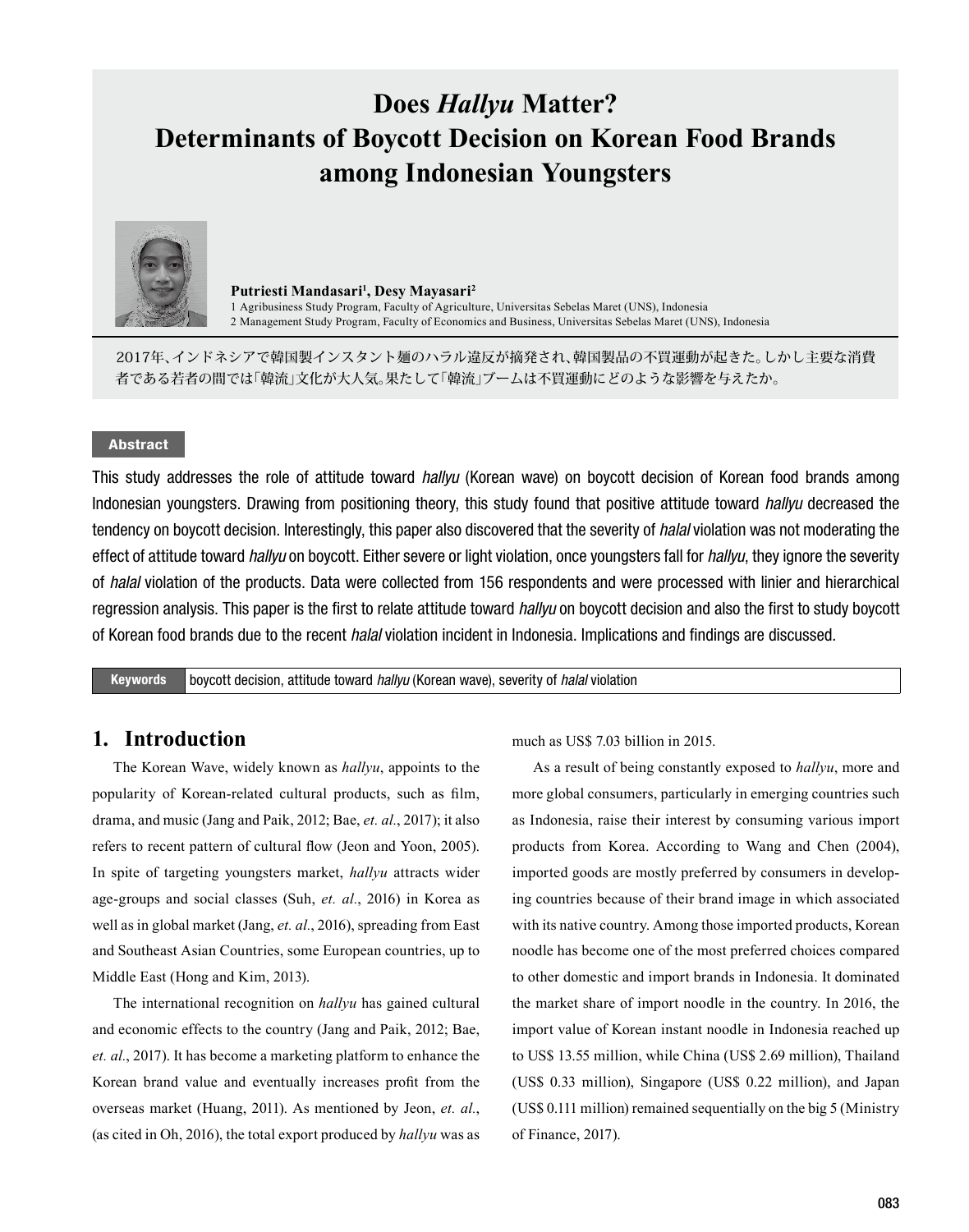# **Does** *Hallyu* **Matter? Determinants of Boycott Decision on Korean Food Brands among Indonesian Youngsters**



**Putriesti Mandasari1 , Desy Mayasari<sup>2</sup>** 1 Agribusiness Study Program, Faculty of Agriculture, Universitas Sebelas Maret (UNS), Indonesia 2 Management Study Program, Faculty of Economics and Business, Universitas Sebelas Maret (UNS), Indonesia

2017年、インドネシアで韓国製インスタント麺のハラル違反が摘発され、韓国製品の不買運動が起きた。しかし主要な消費 者である若者の間では「韓流」文化が大人気。果たして「韓流」ブームは不買運動にどのような影響を与えたか。

### Abstract

This study addresses the role of attitude toward *hallyu* (Korean wave) on boycott decision of Korean food brands among Indonesian youngsters. Drawing from positioning theory, this study found that positive attitude toward *hallyu* decreased the tendency on boycott decision. Interestingly, this paper also discovered that the severity of *halal* violation was not moderating the effect of attitude toward *hallyu* on boycott. Either severe or light violation, once youngsters fall for *hallyu*, they ignore the severity of *halal* violation of the products. Data were collected from 156 respondents and were processed with linier and hierarchical regression analysis. This paper is the first to relate attitude toward *hallyu* on boycott decision and also the first to study boycott of Korean food brands due to the recent *halal* violation incident in Indonesia. Implications and findings are discussed.

Keywords boycott decision, attitude toward *hallyu* (Korean wave), severity of *halal* violation

### **1. Introduction**

The Korean Wave, widely known as *hallyu*, appoints to the popularity of Korean-related cultural products, such as film, drama, and music (Jang and Paik, 2012; Bae, *et. al.*, 2017); it also refers to recent pattern of cultural flow (Jeon and Yoon, 2005). In spite of targeting youngsters market, *hallyu* attracts wider age-groups and social classes (Suh, *et. al.*, 2016) in Korea as well as in global market (Jang, *et. al.*, 2016), spreading from East and Southeast Asian Countries, some European countries, up to Middle East (Hong and Kim, 2013).

The international recognition on *hallyu* has gained cultural and economic effects to the country (Jang and Paik, 2012; Bae, *et. al.*, 2017). It has become a marketing platform to enhance the Korean brand value and eventually increases profit from the overseas market (Huang, 2011). As mentioned by Jeon, *et. al.*, (as cited in Oh, 2016), the total export produced by *hallyu* was as much as US\$ 7.03 billion in 2015.

As a result of being constantly exposed to *hallyu*, more and more global consumers, particularly in emerging countries such as Indonesia, raise their interest by consuming various import products from Korea. According to Wang and Chen (2004), imported goods are mostly preferred by consumers in developing countries because of their brand image in which associated with its native country. Among those imported products, Korean noodle has become one of the most preferred choices compared to other domestic and import brands in Indonesia. It dominated the market share of import noodle in the country. In 2016, the import value of Korean instant noodle in Indonesia reached up to US\$ 13.55 million, while China (US\$ 2.69 million), Thailand (US\$ 0.33 million), Singapore (US\$ 0.22 million), and Japan (US\$ 0.111 million) remained sequentially on the big 5 (Ministry of Finance, 2017).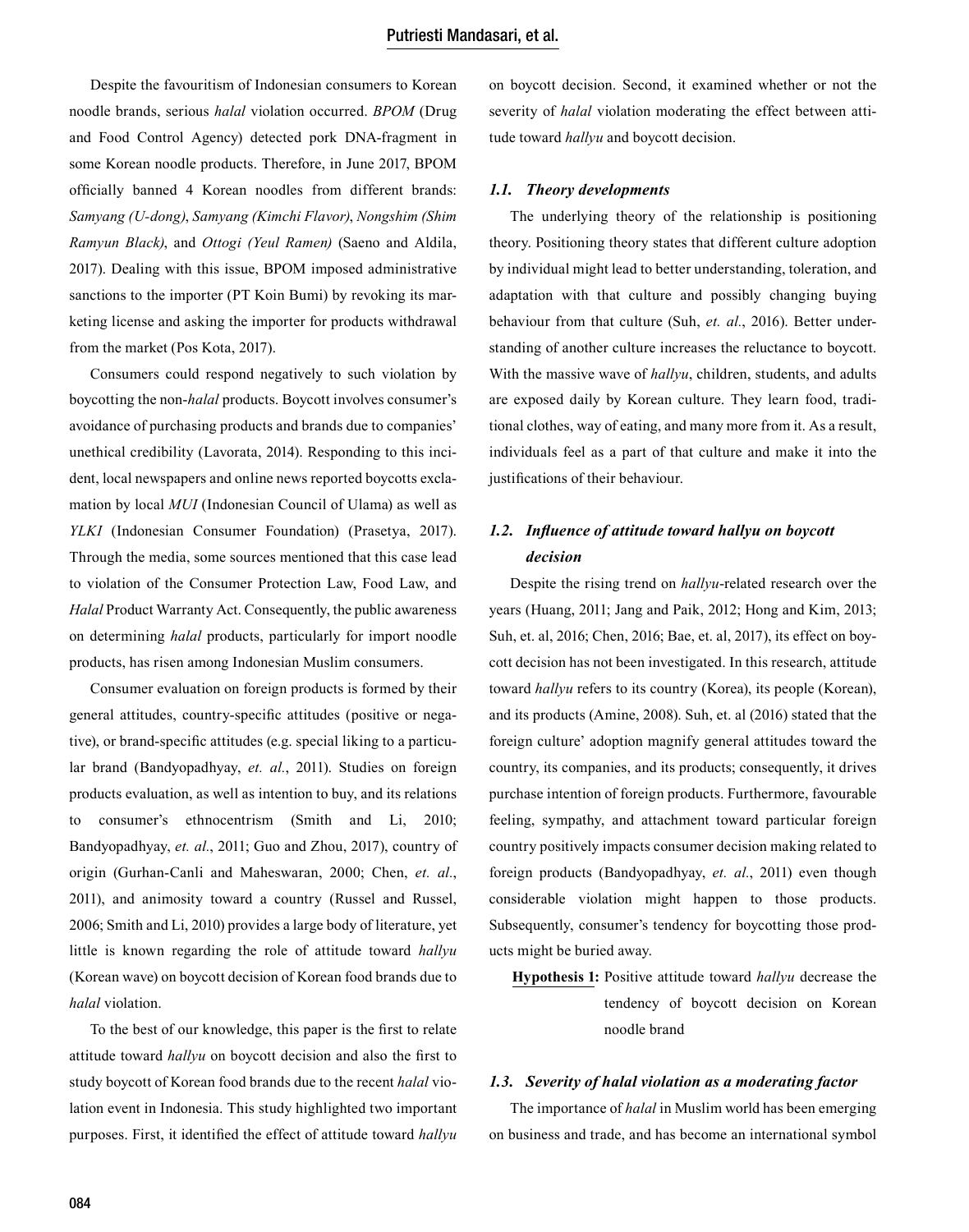Despite the favouritism of Indonesian consumers to Korean noodle brands, serious *halal* violation occurred. *BPOM* (Drug and Food Control Agency) detected pork DNA-fragment in some Korean noodle products. Therefore, in June 2017, BPOM officially banned 4 Korean noodles from different brands: *Samyang (U-dong)*, *Samyang (Kimchi Flavor)*, *Nongshim (Shim Ramyun Black)*, and *Ottogi (Yeul Ramen)* (Saeno and Aldila, 2017). Dealing with this issue, BPOM imposed administrative sanctions to the importer (PT Koin Bumi) by revoking its marketing license and asking the importer for products withdrawal from the market (Pos Kota, 2017).

Consumers could respond negatively to such violation by boycotting the non-*halal* products. Boycott involves consumer's avoidance of purchasing products and brands due to companies' unethical credibility (Lavorata, 2014). Responding to this incident, local newspapers and online news reported boycotts exclamation by local *MUI* (Indonesian Council of Ulama) as well as *YLKI* (Indonesian Consumer Foundation) (Prasetya, 2017). Through the media, some sources mentioned that this case lead to violation of the Consumer Protection Law, Food Law, and *Halal* Product Warranty Act. Consequently, the public awareness on determining *halal* products, particularly for import noodle products, has risen among Indonesian Muslim consumers.

Consumer evaluation on foreign products is formed by their general attitudes, country-specific attitudes (positive or negative), or brand-specific attitudes (e.g. special liking to a particular brand (Bandyopadhyay, *et. al.*, 2011). Studies on foreign products evaluation, as well as intention to buy, and its relations to consumer's ethnocentrism (Smith and Li, 2010; Bandyopadhyay, *et. al.*, 2011; Guo and Zhou, 2017), country of origin (Gurhan-Canli and Maheswaran, 2000; Chen, *et. al.*, 2011), and animosity toward a country (Russel and Russel, 2006; Smith and Li, 2010) provides a large body of literature, yet little is known regarding the role of attitude toward *hallyu* (Korean wave) on boycott decision of Korean food brands due to *halal* violation.

To the best of our knowledge, this paper is the first to relate attitude toward *hallyu* on boycott decision and also the first to study boycott of Korean food brands due to the recent *halal* violation event in Indonesia. This study highlighted two important purposes. First, it identified the effect of attitude toward *hallyu*

on boycott decision. Second, it examined whether or not the severity of *halal* violation moderating the effect between attitude toward *hallyu* and boycott decision.

#### *1.1. Theory developments*

The underlying theory of the relationship is positioning theory. Positioning theory states that different culture adoption by individual might lead to better understanding, toleration, and adaptation with that culture and possibly changing buying behaviour from that culture (Suh, *et. al.*, 2016). Better understanding of another culture increases the reluctance to boycott. With the massive wave of *hallyu*, children, students, and adults are exposed daily by Korean culture. They learn food, traditional clothes, way of eating, and many more from it. As a result, individuals feel as a part of that culture and make it into the justifications of their behaviour.

### *1.2. Influence of attitude toward hallyu on boycott decision*

Despite the rising trend on *hallyu*-related research over the years (Huang, 2011; Jang and Paik, 2012; Hong and Kim, 2013; Suh, et. al, 2016; Chen, 2016; Bae, et. al, 2017), its effect on boycott decision has not been investigated. In this research, attitude toward *hallyu* refers to its country (Korea), its people (Korean), and its products (Amine, 2008). Suh, et. al (2016) stated that the foreign culture' adoption magnify general attitudes toward the country, its companies, and its products; consequently, it drives purchase intention of foreign products. Furthermore, favourable feeling, sympathy, and attachment toward particular foreign country positively impacts consumer decision making related to foreign products (Bandyopadhyay, *et. al.*, 2011) even though considerable violation might happen to those products. Subsequently, consumer's tendency for boycotting those products might be buried away.

**Hypothesis 1:** Positive attitude toward *hallyu* decrease the tendency of boycott decision on Korean noodle brand

#### *1.3. Severity of halal violation as a moderating factor*

The importance of *halal* in Muslim world has been emerging on business and trade, and has become an international symbol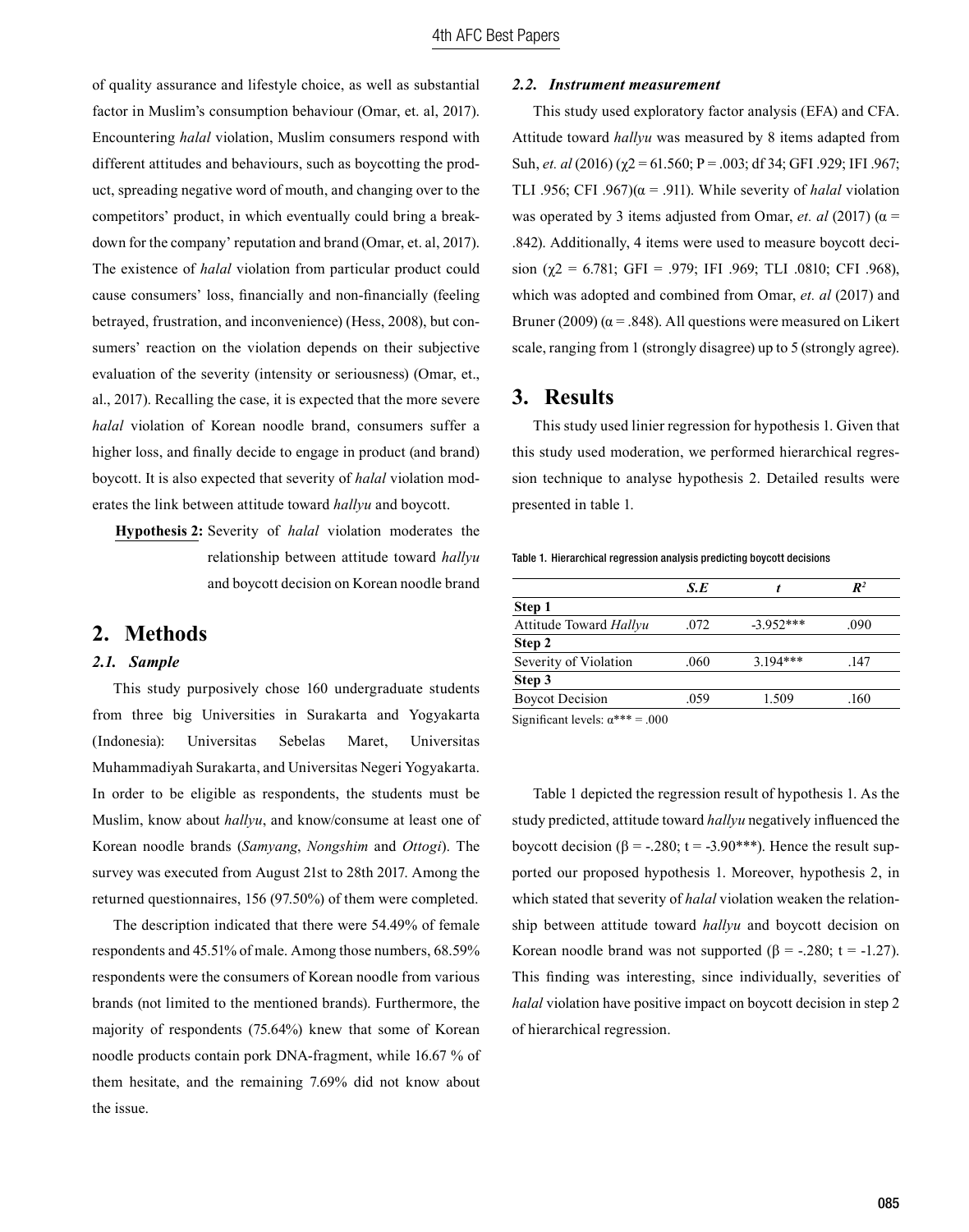of quality assurance and lifestyle choice, as well as substantial factor in Muslim's consumption behaviour (Omar, et. al, 2017). Encountering *halal* violation, Muslim consumers respond with different attitudes and behaviours, such as boycotting the product, spreading negative word of mouth, and changing over to the competitors' product, in which eventually could bring a breakdown for the company' reputation and brand (Omar, et. al, 2017). The existence of *halal* violation from particular product could cause consumers' loss, financially and non-financially (feeling betrayed, frustration, and inconvenience) (Hess, 2008), but consumers' reaction on the violation depends on their subjective evaluation of the severity (intensity or seriousness) (Omar, et., al., 2017). Recalling the case, it is expected that the more severe *halal* violation of Korean noodle brand, consumers suffer a higher loss, and finally decide to engage in product (and brand) boycott. It is also expected that severity of *halal* violation moderates the link between attitude toward *hallyu* and boycott.

**Hypothesis 2:** Severity of *halal* violation moderates the relationship between attitude toward *hallyu* and boycott decision on Korean noodle brand

### **2. Methods**

#### *2.1. Sample*

This study purposively chose 160 undergraduate students from three big Universities in Surakarta and Yogyakarta (Indonesia): Universitas Sebelas Maret, Universitas Muhammadiyah Surakarta, and Universitas Negeri Yogyakarta. In order to be eligible as respondents, the students must be Muslim, know about *hallyu*, and know/consume at least one of Korean noodle brands (*Samyang*, *Nongshim* and *Ottogi*). The survey was executed from August 21st to 28th 2017. Among the returned questionnaires, 156 (97.50%) of them were completed.

The description indicated that there were 54.49% of female respondents and 45.51% of male. Among those numbers, 68.59% respondents were the consumers of Korean noodle from various brands (not limited to the mentioned brands). Furthermore, the majority of respondents (75.64%) knew that some of Korean noodle products contain pork DNA-fragment, while 16.67 % of them hesitate, and the remaining 7.69% did not know about the issue.

#### *2.2. Instrument measurement*

This study used exploratory factor analysis (EFA) and CFA. Attitude toward *hallyu* was measured by 8 items adapted from Suh, *et. al* (2016) (χ2 = 61.560; P = .003; df 34; GFI .929; IFI .967; TLI .956; CFI .967) $(\alpha = .911)$ . While severity of *halal* violation was operated by 3 items adjusted from Omar, *et. al* (2017) ( $\alpha$  = .842). Additionally, 4 items were used to measure boycott decision ( $\gamma$ 2 = 6.781; GFI = .979; IFI .969; TLI .0810; CFI .968), which was adopted and combined from Omar, *et. al* (2017) and Bruner (2009) ( $\alpha$  = .848). All questions were measured on Likert scale, ranging from 1 (strongly disagree) up to 5 (strongly agree).

### **3. Results**

This study used linier regression for hypothesis 1. Given that this study used moderation, we performed hierarchical regression technique to analyse hypothesis 2. Detailed results were presented in table 1.

Table 1. Hierarchical regression analysis predicting boycott decisions

|                        | S.E  |            | $\mathbb{R}^2$ |
|------------------------|------|------------|----------------|
| Step 1                 |      |            |                |
| Attitude Toward Hallyu | .072 | $-3952***$ | .090           |
| Step 2                 |      |            |                |
| Severity of Violation  | .060 | $3.194***$ | .147           |
| Step 3                 |      |            |                |
| <b>Boycot Decision</b> | .059 | 1.509      | .160           |
|                        |      |            |                |

Significant levels:  $\alpha^{***} = .000$ 

Table 1 depicted the regression result of hypothesis 1. As the study predicted, attitude toward *hallyu* negatively influenced the boycott decision (β = -.280; t = -3.90\*\*\*). Hence the result supported our proposed hypothesis 1. Moreover, hypothesis 2, in which stated that severity of *halal* violation weaken the relationship between attitude toward *hallyu* and boycott decision on Korean noodle brand was not supported ( $\beta$  = -.280; t = -1.27). This finding was interesting, since individually, severities of *halal* violation have positive impact on boycott decision in step 2 of hierarchical regression.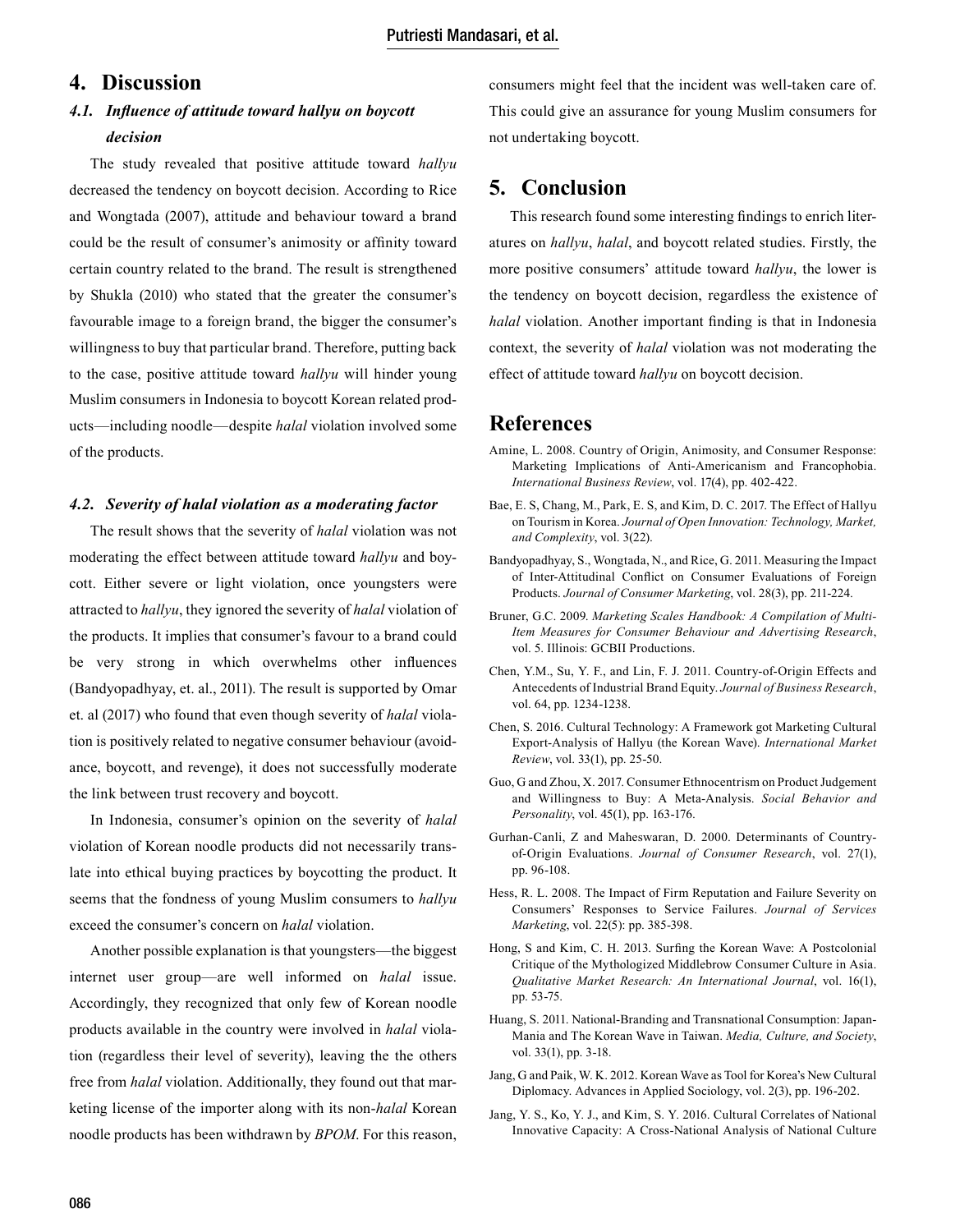# **4. Discussion**

# *4.1. Influence of attitude toward hallyu on boycott decision*

The study revealed that positive attitude toward *hallyu* decreased the tendency on boycott decision. According to Rice and Wongtada (2007), attitude and behaviour toward a brand could be the result of consumer's animosity or affinity toward certain country related to the brand. The result is strengthened by Shukla (2010) who stated that the greater the consumer's favourable image to a foreign brand, the bigger the consumer's willingness to buy that particular brand. Therefore, putting back to the case, positive attitude toward *hallyu* will hinder young Muslim consumers in Indonesia to boycott Korean related products—including noodle—despite *halal* violation involved some of the products.

#### *4.2. Severity of halal violation as a moderating factor*

The result shows that the severity of *halal* violation was not moderating the effect between attitude toward *hallyu* and boycott. Either severe or light violation, once youngsters were attracted to *hallyu*, they ignored the severity of *halal* violation of the products. It implies that consumer's favour to a brand could be very strong in which overwhelms other influences (Bandyopadhyay, et. al., 2011). The result is supported by Omar et. al (2017) who found that even though severity of *halal* violation is positively related to negative consumer behaviour (avoidance, boycott, and revenge), it does not successfully moderate the link between trust recovery and boycott.

In Indonesia, consumer's opinion on the severity of *halal* violation of Korean noodle products did not necessarily translate into ethical buying practices by boycotting the product. It seems that the fondness of young Muslim consumers to *hallyu* exceed the consumer's concern on *halal* violation.

Another possible explanation is that youngsters—the biggest internet user group—are well informed on *halal* issue. Accordingly, they recognized that only few of Korean noodle products available in the country were involved in *halal* violation (regardless their level of severity), leaving the the others free from *halal* violation. Additionally, they found out that marketing license of the importer along with its non-*halal* Korean noodle products has been withdrawn by *BPOM*. For this reason,

consumers might feel that the incident was well-taken care of. This could give an assurance for young Muslim consumers for not undertaking boycott.

# **5. Conclusion**

This research found some interesting findings to enrich literatures on *hallyu*, *halal*, and boycott related studies. Firstly, the more positive consumers' attitude toward *hallyu*, the lower is the tendency on boycott decision, regardless the existence of *halal* violation. Another important finding is that in Indonesia context, the severity of *halal* violation was not moderating the effect of attitude toward *hallyu* on boycott decision.

### **References**

- Amine, L. 2008. Country of Origin, Animosity, and Consumer Response: Marketing Implications of Anti-Americanism and Francophobia. *International Business Review*, vol. 17(4), pp. 402-422.
- Bae, E. S, Chang, M., Park, E. S, and Kim, D. C. 2017. The Effect of Hallyu on Tourism in Korea. *Journal of Open Innovation: Technology, Market, and Complexity*, vol. 3(22).
- Bandyopadhyay, S., Wongtada, N., and Rice, G. 2011. Measuring the Impact of Inter-Attitudinal Conflict on Consumer Evaluations of Foreign Products. *Journal of Consumer Marketing*, vol. 28(3), pp. 211-224.
- Bruner, G.C. 2009. *Marketing Scales Handbook: A Compilation of Multi-Item Measures for Consumer Behaviour and Advertising Research*, vol. 5. Illinois: GCBII Productions.
- Chen, Y.M., Su, Y. F., and Lin, F. J. 2011. Country-of-Origin Effects and Antecedents of Industrial Brand Equity. *Journal of Business Research*, vol. 64, pp. 1234-1238.
- Chen, S. 2016. Cultural Technology: A Framework got Marketing Cultural Export-Analysis of Hallyu (the Korean Wave). *International Market Review*, vol. 33(1), pp. 25-50.
- Guo, G and Zhou, X. 2017. Consumer Ethnocentrism on Product Judgement and Willingness to Buy: A Meta-Analysis. *Social Behavior and Personality*, vol. 45(1), pp. 163-176.
- Gurhan-Canli, Z and Maheswaran, D. 2000. Determinants of Countryof-Origin Evaluations. *Journal of Consumer Research*, vol. 27(1), pp. 96-108.
- Hess, R. L. 2008. The Impact of Firm Reputation and Failure Severity on Consumers' Responses to Service Failures. *Journal of Services Marketing*, vol. 22(5): pp. 385-398.
- Hong, S and Kim, C. H. 2013. Surfing the Korean Wave: A Postcolonial Critique of the Mythologized Middlebrow Consumer Culture in Asia. *Qualitative Market Research: An International Journal*, vol. 16(1), pp. 53-75.
- Huang, S. 2011. National-Branding and Transnational Consumption: Japan-Mania and The Korean Wave in Taiwan. *Media, Culture, and Society*, vol. 33(1), pp. 3-18.
- Jang, G and Paik, W. K. 2012. Korean Wave as Tool for Korea's New Cultural Diplomacy. Advances in Applied Sociology, vol. 2(3), pp. 196-202.
- Jang, Y. S., Ko, Y. J., and Kim, S. Y. 2016. Cultural Correlates of National Innovative Capacity: A Cross-National Analysis of National Culture